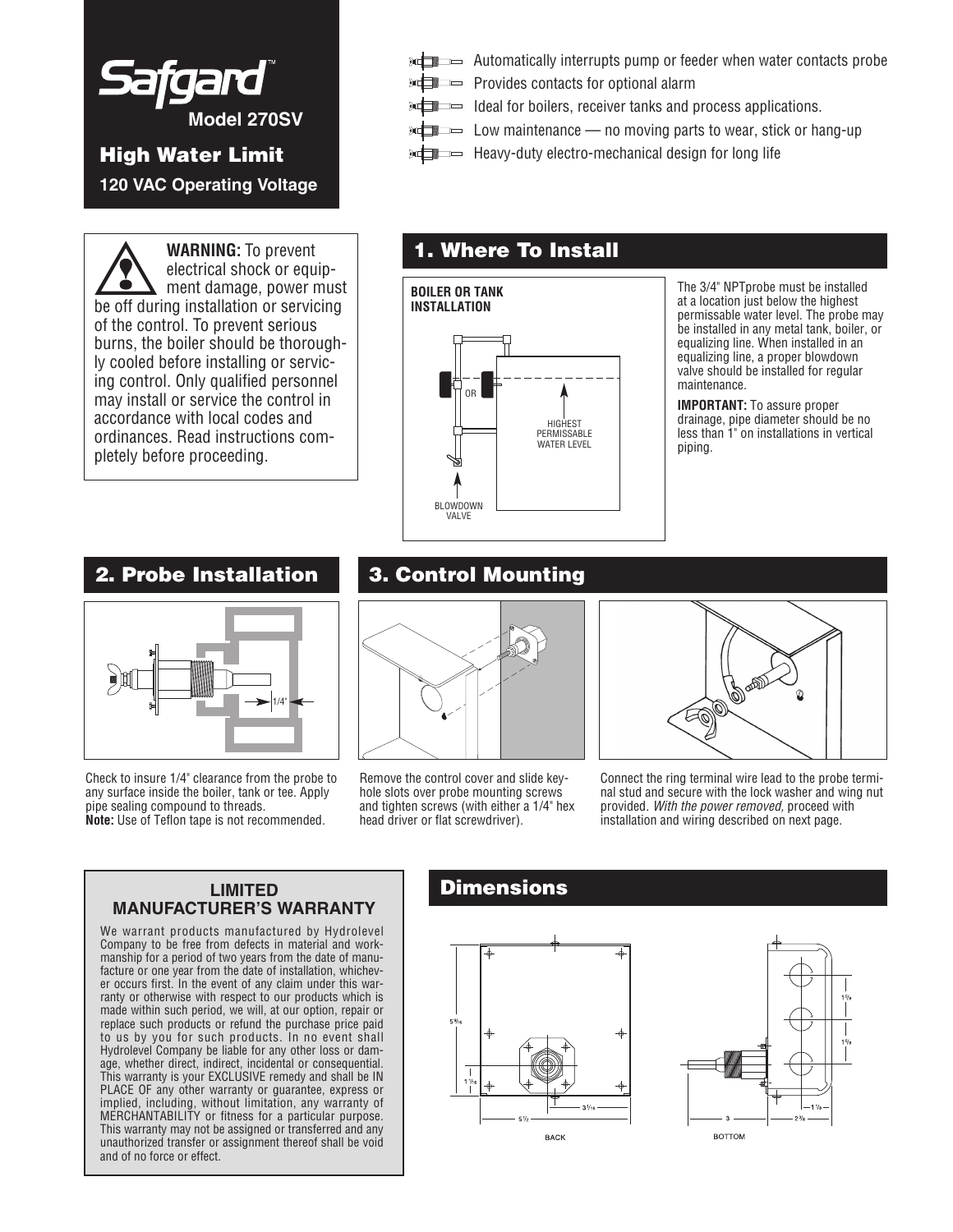

**120 VAC Operating Voltage**

**WARNING:** To prevent electrical shock or equipment damage, power must be off during installation or servicing of the control. To prevent serious burns, the boiler should be thoroughly cooled before installing or servicing control. Only qualified personnel may install or service the control in accordance with local codes and ordinances. Read instructions completely before proceeding.

- **Automatically interrupts pump or feeder when water contacts probe**
- **Provides contacts for optional alarm**
- $\overline{\mathcal{F}}$  Ideal for boilers, receiver tanks and process applications.
- $\overline{\mathcal{L}}$  Low maintenance no moving parts to wear, stick or hang-up
- **High Water Limit**  $\mathbb{R}$  **Heavy-duty electro-mechanical design for long life**

## **1. Where To Install**

**HIGHEST** PERMISSABLE WATER LEVEL OR BLOWDOWN VALVE **BOILER OR TANK INSTALLATION**

The 3/4" NPTprobe must be installed at a location just below the highest permissable water level. The probe may be installed in any metal tank, boiler, or equalizing line. When installed in an equalizing line, a proper blowdown valve should be installed for regular maintenance.

**IMPORTANT:** To assure proper drainage, pipe diameter should be no less than 1" on installations in vertical piping.

### **2. Probe Installation**



Check to insure 1/4" clearance from the probe to any surface inside the boiler, tank or tee. Apply pipe sealing compound to threads. **Note:** Use of Teflon tape is not recommended.

## **3. Control Mounting**



Remove the control cover and slide keyhole slots over probe mounting screws and tighten screws (with either a 1/4" hex head driver or flat screwdriver).



Connect the ring terminal wire lead to the probe terminal stud and secure with the lock washer and wing nut provided. *With the power removed,* proceed with installation and wiring described on next page.

#### **LIMITED MANUFACTURER'S WARRANTY**

We warrant products manufactured by Hydrolevel Company to be free from defects in material and workmanship for a period of two years from the date of manufacture or one year from the date of installation, whichever occurs first. In the event of any claim under this warranty or otherwise with respect to our products which is made within such period, we will, at our option, repair or replace such products or refund the purchase price paid to us by you for such products. In no event shall Hydrolevel Company be liable for any other loss or damage, whether direct, indirect, incidental or consequential. This warranty is your EXCLUSIVE remedy and shall be IN PLACE OF any other warranty or guarantee, express or implied, including, without limitation, any warranty of MERCHANTABILITY or fitness for a particular purpose. This warranty may not be assigned or transferred and any unauthorized transfer or assignment thereof shall be void and of no force or effect.

### **Dimensions**